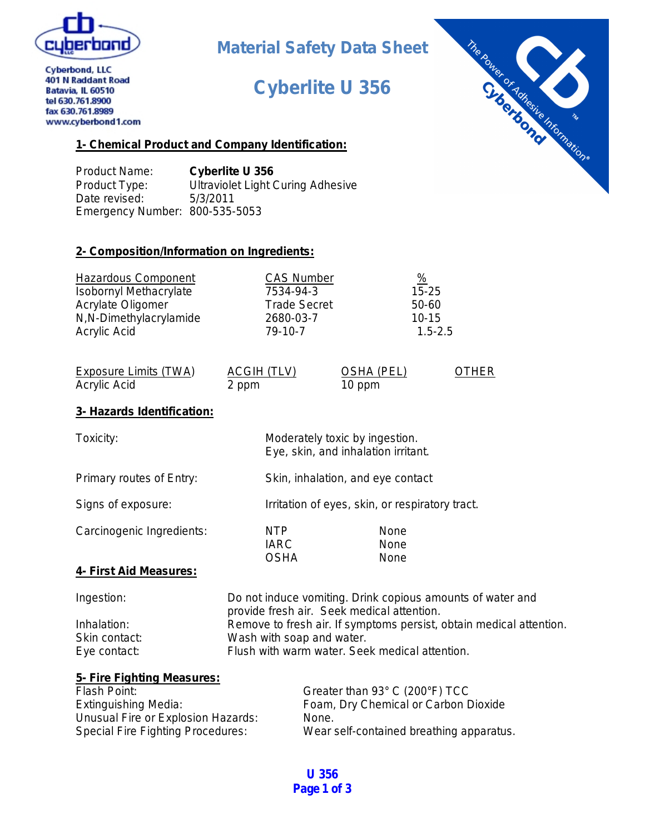

**Cyberbond, LLC** 

# **Material Safety Data Sheet**

# **Cyberlite U 356**



401 N Raddant Road Batavia, IL 60510 tel 630.761.8900 fax 630.761.8989 www.cyberbond1.com

### **1- Chemical Product and Company Identification:**

Product Name: **Cyberlite U 356** Product Type: Ultraviolet Light Curing Adhesive Date revised: 5/3/2011 Emergency Number: 800-535-5053

### **2- Composition/Information on Ingredients:**

| <b>Hazardous Component</b>    | <b>CAS Number</b>   | $\frac{9}{6}$ |
|-------------------------------|---------------------|---------------|
| <b>Isobornyl Methacrylate</b> | 7534-94-3           | $15 - 25$     |
| Acrylate Oligomer             | <b>Trade Secret</b> | 50-60         |
| N,N-Dimethylacrylamide        | 2680-03-7           | $10 - 15$     |
| Acrylic Acid                  | 79-10-7             | $1.5 - 2.5$   |

| Exposure Limits (TWA) | ACGIH (TLV) | OSHA (PEL) | <b>OTHER</b> |
|-----------------------|-------------|------------|--------------|
| Acrylic Acid          | 2 ppm       | 10 ppm     |              |

## **3- Hazards Identification:**

| Toxicity:                     |                                          | Moderately toxic by ingestion.<br>Eye, skin, and inhalation irritant. |
|-------------------------------|------------------------------------------|-----------------------------------------------------------------------|
| Primary routes of Entry:      |                                          | Skin, inhalation, and eye contact                                     |
| Signs of exposure:            |                                          | Irritation of eyes, skin, or respiratory tract.                       |
| Carcinogenic Ingredients:     | <b>NTP</b><br><b>IARC</b><br><b>OSHA</b> | None<br>None<br>None                                                  |
| <u>4- First Aid Measures:</u> |                                          |                                                                       |
| المتحدث والمتحدث والمستنقذ    |                                          | De seen te diversiones the ac Data board even associated of the       |

| Ingestion:    | Do not induce vomiting. Drink copious amounts of water and          |
|---------------|---------------------------------------------------------------------|
|               | provide fresh air. Seek medical attention.                          |
| Inhalation:   | Remove to fresh air. If symptoms persist, obtain medical attention. |
| Skin contact: | Wash with soap and water.                                           |
| Eye contact:  | Flush with warm water. Seek medical attention.                      |

| 5- Fire Fighting Measures:               |                                          |
|------------------------------------------|------------------------------------------|
| Flash Point:                             | Greater than 93° C (200°F) TCC           |
| <b>Extinguishing Media:</b>              | Foam, Dry Chemical or Carbon Dioxide     |
| Unusual Fire or Explosion Hazards:       | None.                                    |
| <b>Special Fire Fighting Procedures:</b> | Wear self-contained breathing apparatus. |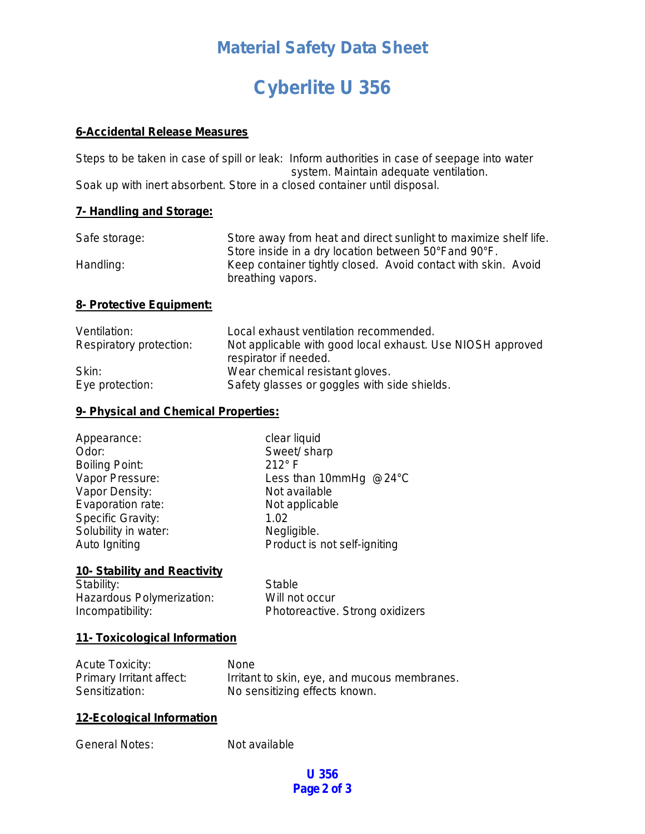# **Material Safety Data Sheet**

# **Cyberlite U 356**

#### **6-Accidental Release Measures**

Steps to be taken in case of spill or leak: Inform authorities in case of seepage into water system. Maintain adequate ventilation. Soak up with inert absorbent. Store in a closed container until disposal.

### **7- Handling and Storage:**

| Safe storage: | Store away from heat and direct sunlight to maximize shelf life. |
|---------------|------------------------------------------------------------------|
|               | Store inside in a dry location between 50°Fand 90°F.             |
| Handling:     | Keep container tightly closed. Avoid contact with skin. Avoid    |
|               | breathing vapors.                                                |

#### **8- Protective Equipment:**

| Ventilation:            | Local exhaust ventilation recommended.                     |
|-------------------------|------------------------------------------------------------|
| Respiratory protection: | Not applicable with good local exhaust. Use NIOSH approved |
|                         | respirator if needed.                                      |
| Skin:                   | Wear chemical resistant gloves.                            |
| Eye protection:         | Safety glasses or goggles with side shields.               |

### **9- Physical and Chemical Properties:**

| Appearance:           | clear liquid                 |
|-----------------------|------------------------------|
| Odor:                 | Sweet/ sharp                 |
| <b>Boiling Point:</b> | $212^\circ$ F                |
| Vapor Pressure:       | Less than 10mmHg @24°C       |
| Vapor Density:        | Not available                |
| Evaporation rate:     | Not applicable               |
| Specific Gravity:     | 1.02                         |
| Solubility in water:  | Negligible.                  |
| Auto Igniting         | Product is not self-igniting |

#### **10- Stability and Reactivity**

Stability: Stable Hazardous Polymerization: Will not occur

Incompatibility: Photoreactive. Strong oxidizers

#### **11- Toxicological Information**

| <b>Acute Toxicity:</b>   | <b>None</b>                                  |
|--------------------------|----------------------------------------------|
| Primary Irritant affect: | Irritant to skin, eye, and mucous membranes. |
| Sensitization:           | No sensitizing effects known.                |

### **12-Ecological Information**

General Notes: Not available